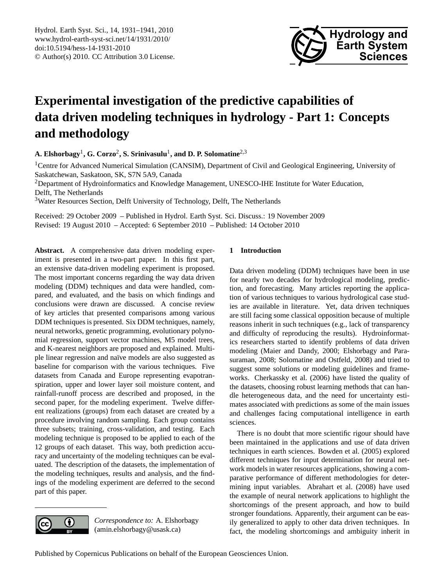

# <span id="page-0-0"></span>**Experimental investigation of the predictive capabilities of data driven modeling techniques in hydrology - Part 1: Concepts and methodology**

**A. Elshorbagy**<sup>1</sup> **, G. Corzo**<sup>2</sup> **, S. Srinivasulu**<sup>1</sup> **, and D. P. Solomatine**2,3

<sup>1</sup>Centre for Advanced Numerical Simulation (CANSIM), Department of Civil and Geological Engineering, University of Saskatchewan, Saskatoon, SK, S7N 5A9, Canada

<sup>2</sup>Department of Hydroinformatics and Knowledge Management, UNESCO-IHE Institute for Water Education, Delft, The Netherlands

<sup>3</sup>Water Resources Section, Delft University of Technology, Delft, The Netherlands

Received: 29 October 2009 – Published in Hydrol. Earth Syst. Sci. Discuss.: 19 November 2009 Revised: 19 August 2010 – Accepted: 6 September 2010 – Published: 14 October 2010

**Abstract.** A comprehensive data driven modeling experiment is presented in a two-part paper. In this first part, an extensive data-driven modeling experiment is proposed. The most important concerns regarding the way data driven modeling (DDM) techniques and data were handled, compared, and evaluated, and the basis on which findings and conclusions were drawn are discussed. A concise review of key articles that presented comparisons among various DDM techniques is presented. Six DDM techniques, namely, neural networks, genetic programming, evolutionary polynomial regression, support vector machines, M5 model trees, and K-nearest neighbors are proposed and explained. Multiple linear regression and naïve models are also suggested as baseline for comparison with the various techniques. Five datasets from Canada and Europe representing evapotranspiration, upper and lower layer soil moisture content, and rainfall-runoff process are described and proposed, in the second paper, for the modeling experiment. Twelve different realizations (groups) from each dataset are created by a procedure involving random sampling. Each group contains three subsets; training, cross-validation, and testing. Each modeling technique is proposed to be applied to each of the 12 groups of each dataset. This way, both prediction accuracy and uncertainty of the modeling techniques can be evaluated. The description of the datasets, the implementation of the modeling techniques, results and analysis, and the findings of the modeling experiment are deferred to the second part of this paper.

## **1 Introduction**

Data driven modeling (DDM) techniques have been in use for nearly two decades for hydrological modeling, prediction, and forecasting. Many articles reporting the application of various techniques to various hydrological case studies are available in literature. Yet, data driven techniques are still facing some classical opposition because of multiple reasons inherit in such techniques (e.g., lack of transparency and difficulty of reproducing the results). Hydroinformatics researchers started to identify problems of data driven modeling (Maier and Dandy, 2000; Elshorbagy and Parasuraman, 2008; Solomatine and Ostfeld, 2008) and tried to suggest some solutions or modeling guidelines and frameworks. Cherkassky et al. (2006) have listed the quality of the datasets, choosing robust learning methods that can handle heterogeneous data, and the need for uncertainty estimates associated with predictions as some of the main issues and challenges facing computational intelligence in earth sciences.

There is no doubt that more scientific rigour should have been maintained in the applications and use of data driven techniques in earth sciences. Bowden et al. (2005) explored different techniques for input determination for neural network models in water resources applications, showing a comparative performance of different methodologies for determining input variables. Abrahart et al. (2008) have used the example of neural network applications to highlight the shortcomings of the present approach, and how to build stronger foundations. Apparently, their argument can be easily generalized to apply to other data driven techniques. In fact, the modeling shortcomings and ambiguity inherit in

0

(cc

*Correspondence to:* A. Elshorbagy (amin.elshorbagy@usask.ca)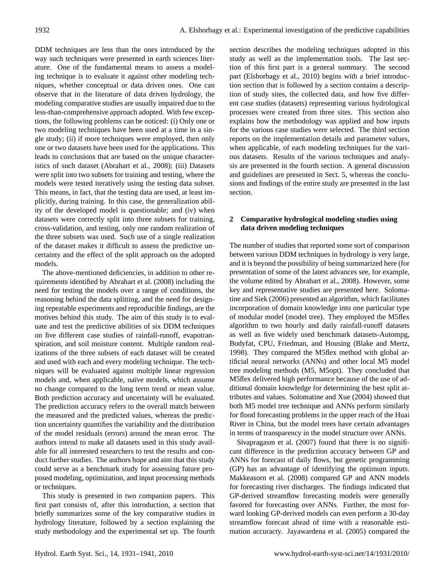DDM techniques are less than the ones introduced by the way such techniques were presented in earth sciences literature. One of the fundamental means to assess a modeling technique is to evaluate it against other modeling techniques, whether conceptual or data driven ones. One can observe that in the literature of data driven hydrology, the modeling comparative studies are usually impaired due to the less-than-comprehensive approach adopted. With few exceptions, the following problems can be noticed: (i) Only one or two modeling techniques have been used at a time in a single study; (ii) if more techniques were employed, then only one or two datasets have been used for the applications. This leads to conclusions that are based on the unique characteristics of such dataset (Abrahart et al., 2008); (iii) Datasets were split into two subsets for training and testing, where the models were tested iteratively using the testing data subset. This means, in fact, that the testing data are used, at least implicitly, during training. In this case, the generalization ability of the developed model is questionable; and (iv) when datasets were correctly split into three subsets for training, cross-validation, and testing, only one random realization of the three subsets was used. Such use of a single realization of the dataset makes it difficult to assess the predictive uncertainty and the effect of the split approach on the adopted models.

The above-mentioned deficiencies, in addition to other requirements identified by Abrahart et al. (2008) including the need for testing the models over a range of conditions, the reasoning behind the data splitting, and the need for designing repeatable experiments and reproducible findings, are the motives behind this study. The aim of this study is to evaluate and test the predictive abilities of six DDM techniques on five different case studies of rainfall-runoff, evapotranspiration, and soil moisture content. Multiple random realizations of the three subsets of each dataset will be created and used with each and every modeling technique. The techniques will be evaluated against multiple linear regression models and, when applicable, naïve models, which assume no change compared to the long term trend or mean value. Both prediction accuracy and uncertainty will be evaluated. The prediction accuracy refers to the overall match between the measured and the predicted values, whereas the prediction uncertainty quantifies the variability and the distribution of the model residuals (errors) around the mean error. The authors intend to make all datasets used in this study available for all interested researchers to test the results and conduct further studies. The authors hope and aim that this study could serve as a benchmark study for assessing future proposed modeling, optimization, and input processing methods or techniques.

This study is presented in two companion papers. This first part consists of, after this introduction, a section that briefly summarizes some of the key comparative studies in hydrology literature, followed by a section explaining the study methodology and the experimental set up. The fourth section describes the modeling techniques adopted in this study as well as the implementation tools. The last section of this first part is a general summary. The second part (Elshorbagy et al., 2010) begins with a brief introduction section that is followed by a section contains a description of study sites, the collected data, and how five different case studies (datasets) representing various hydrological processes were created from three sites. This section also explains how the methodology was applied and how inputs for the various case studies were selected. The third section reports on the implementation details and parameter values, when applicable, of each modeling techniques for the various datasets. Results of the various techniques and analysis are presented in the fourth section. A general discussion and guidelines are presented in Sect. 5, whereas the conclusions and findings of the entire study are presented in the last section.

## **2 Comparative hydrological modeling studies using data driven modeling techniques**

The number of studies that reported some sort of comparison between various DDM techniques in hydrology is very large, and it is beyond the possibility of being summarized here (for presentation of some of the latest advances see, for example, the volume edited by Abrahart et al., 2008). However, some key and representative studies are presented here. Solomatine and Siek (2006) presented an algorithm, which facilitates incorporation of domain knowledge into one particular type of modular model (model tree). They employed the M5flex algorithm to two hourly and daily rainfall-runoff datasets as well as five widely used benchmark datasets-Autompg, Bodyfat, CPU, Friedman, and Housing (Blake and Mertz, 1998). They compared the M5flex method with global artificial neural networks (ANNs) and other local M5 model tree modeling methods (M5, M5opt). They concluded that M5flex delivered high performance because of the use of additional domain knowledge for determining the best split attributes and values. Solomatine and Xue (2004) showed that both M5 model tree technique and ANNs perform similarly for flood forecasting problems in the upper reach of the Huai River in China, but the model trees have certain advantages in terms of transparency in the model structure over ANNs.

Sivapragasm et al. (2007) found that there is no significant difference in the prediction accuracy between GP and ANNs for forecast of daily flows, but genetic programming (GP) has an advantage of identifying the optimum inputs. Makkeasorn et al. (2008) compared GP and ANN models for forecasting river discharges. The findings indicated that GP-derived streamflow forecasting models were generally favored for forecasting over ANNs. Further, the most forward looking GP-derived models can even perform a 30-day streamflow forecast ahead of time with a reasonable estimation accuracty. Jayawardena et al. (2005) compared the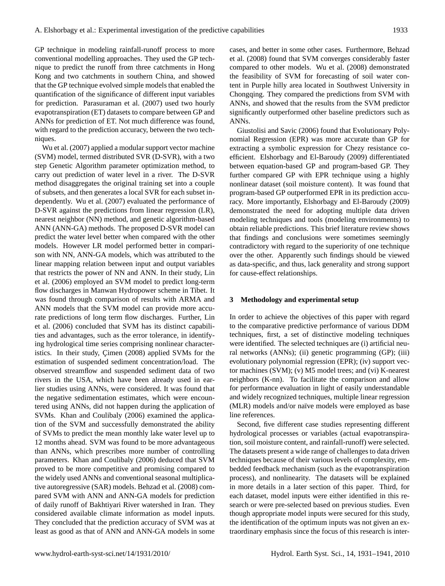GP technique in modeling rainfall-runoff process to more conventional modelling approaches. They used the GP technique to predict the runoff from three catchments in Hong Kong and two catchments in southern China, and showed that the GP technique evolved simple models that enabled the quantification of the significance of different input variables for prediction. Parasuraman et al. (2007) used two hourly evapotranspiration (ET) datasets to compare between GP and ANNs for prediction of ET. Not much difference was found, with regard to the prediction accuracy, between the two techniques.

Wu et al. (2007) applied a modular support vector machine (SVM) model, termed distributed SVR (D-SVR), with a two step Genetic Algorithm parameter optimization method, to carry out prediction of water level in a river. The D-SVR method disaggregates the original training set into a couple of subsets, and then generates a local SVR for each subset independently. Wu et al. (2007) evaluated the performance of D-SVR against the predictions from linear regression (LR), nearest neighbor (NN) method, and genetic algorithm-based ANN (ANN-GA) methods. The proposed D-SVR model can predict the water level better when compared with the other models. However LR model performed better in comparison with NN, ANN-GA models, which was attributed to the linear mapping relation between input and output variables that restricts the power of NN and ANN. In their study, Lin et al. (2006) employed an SVM model to predict long-term flow discharges in Manwan Hydropower scheme in Tibet. It was found through comparison of results with ARMA and ANN models that the SVM model can provide more accurate predictions of long term flow discharges. Further, Lin et al. (2006) concluded that SVM has its distinct capabilities and advantages, such as the error tolerance, in identifying hydrological time series comprising nonlinear characteristics. In their study, Cimen (2008) applied SVMs for the estimation of suspended sediment concentration/load. The observed streamflow and suspended sediment data of two rivers in the USA, which have been already used in earlier studies using ANNs, were considered. It was found that the negative sedimentation estimates, which were encountered using ANNs, did not happen during the application of SVMs. Khan and Coulibaly (2006) examined the application of the SVM and successfully demonstrated the ability of SVMs to predict the mean monthly lake water level up to 12 months ahead. SVM was found to be more advantageous than ANNs, which prescribes more number of controlling parameters. Khan and Coulibaly (2006) deduced that SVM proved to be more competitive and promising compared to the widely used ANNs and conventional seasonal multiplicative autoregressive (SAR) models. Behzad et al. (2008) compared SVM with ANN and ANN-GA models for prediction of daily runoff of Bakhtiyari River watershed in Iran. They considered available climate information as model inputs. They concluded that the prediction accuracy of SVM was at least as good as that of ANN and ANN-GA models in some cases, and better in some other cases. Furthermore, Behzad et al. (2008) found that SVM converges considerably faster compared to other models. Wu et al. (2008) demonstrated the feasibility of SVM for forecasting of soil water content in Purple hilly area located in Southwest University in Chongqing. They compared the predictions from SVM with ANNs, and showed that the results from the SVM predictor significantly outperformed other baseline predictors such as ANNs.

Giustolisi and Savic (2006) found that Evolutionary Polynomial Regression (EPR) was more accurate than GP for extracting a symbolic expression for Chezy resistance coefficient. Elshorbagy and El-Baroudy (2009) differentiated between equation-based GP and program-based GP. They further compared GP with EPR technique using a highly nonlinear dataset (soil moisture content). It was found that program-based GP outperformed EPR in its prediction accuracy. More importantly, Elshorbagy and El-Baroudy (2009) demonstrated the need for adopting multiple data driven modeling techniques and tools (modeling environments) to obtain reliable predictions. This brief literature review shows that findings and conclusions were sometimes seemingly contradictory with regard to the superiority of one technique over the other. Apparently such findings should be viewed as data-specific, and thus, lack generality and strong support for cause-effect relationships.

#### **3 Methodology and experimental setup**

In order to achieve the objectives of this paper with regard to the comparative predictive performance of various DDM techniques, first, a set of distinctive modeling techniques were identified. The selected techniques are (i) artificial neural networks (ANNs); (ii) genetic programming (GP); (iii) evolutionary polynomial regression (EPR); (iv) support vector machines (SVM); (v) M5 model trees; and (vi) K-nearest neighbors (K-nn). To facilitate the comparison and allow for performance evaluation in light of easily understandable and widely recognized techniques, multiple linear regression (MLR) models and/or naïve models were employed as base line references.

Second, five different case studies representing different hydrological processes or variables (actual evapotranspiration, soil moisture content, and rainfall-runoff) were selected. The datasets present a wide range of challenges to data driven techniques because of their various levels of complexity, embedded feedback mechanism (such as the evapotranspiration process), and nonlinearity. The datasets will be explained in more details in a later section of this paper. Third, for each dataset, model inputs were either identified in this research or were pre-selected based on previous studies. Even though appropriate model inputs were secured for this study, the identification of the optimum inputs was not given an extraordinary emphasis since the focus of this research is inter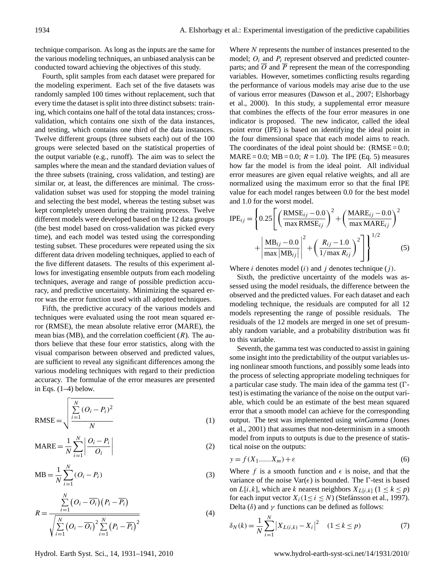technique comparison. As long as the inputs are the same for the various modeling techniques, an unbiased analysis can be conducted toward achieving the objectives of this study.

Fourth, split samples from each dataset were prepared for the modeling experiment. Each set of the five datasets was randomly sampled 100 times without replacement, such that every time the dataset is split into three distinct subsets: training, which contains one half of the total data instances; crossvalidation, which contains one sixth of the data instances, and testing, which contains one third of the data instances. Twelve different groups (three subsets each) out of the 100 groups were selected based on the statistical properties of the output variable (e.g., runoff). The aim was to select the samples where the mean and the standard deviation values of the three subsets (training, cross validation, and testing) are similar or, at least, the differences are minimal. The crossvalidation subset was used for stopping the model training and selecting the best model, whereas the testing subset was kept completely unseen during the training process. Twelve different models were developed based on the 12 data groups (the best model based on cross-validation was picked every time), and each model was tested using the corresponding testing subset. These procedures were repeated using the six different data driven modeling techniques, applied to each of the five different datasets. The results of this experiment allows for investigating ensemble outputs from each modeling techniques, average and range of possible prediction accuracy, and predictive uncertainty. Minimizing the squared error was the error function used with all adopted techniques.

Fifth, the predictive accuracy of the various models and techniques were evaluated using the root mean squared error (RMSE), the mean absolute relative error (MARE), the mean bias (MB), and the correlation coefficient  $(R)$ . The authors believe that these four error statistics, along with the visual comparison between observed and predicted values, are sufficient to reveal any significant differences among the various modeling techniques with regard to their prediction accuracy. The formulae of the error measures are presented in Eqs. (1–4) below.

<span id="page-3-2"></span>
$$
RMSE = \sqrt{\frac{\sum_{i=1}^{N} (O_i - P_i)^2}{N}}
$$
 (1)

<span id="page-3-1"></span>
$$
\text{MARE} = \frac{1}{N} \sum_{i=1}^{N} \left| \frac{O_i - P_i}{O_i} \right| \tag{2}
$$

<span id="page-3-4"></span>
$$
MB = \frac{1}{N} \sum_{i=1}^{N} (O_i - P_i)
$$
 (3)

<span id="page-3-3"></span>
$$
R = \frac{\sum_{i=1}^{N} (O_i - \overline{O_i})(P_i - \overline{P_i})}{\sqrt{\sum_{i=1}^{N} (O_i - \overline{O_i})^2 \sum_{i=1}^{N} (P_i - \overline{P_i})^2}}
$$
(4)

Where N represents the number of instances presented to the model;  $O_i$  and  $P_i$  represent observed and predicted counterparts; and  $\overline{O}$  and  $\overline{P}$  represent the mean of the corresponding variables. However, sometimes conflicting results regarding the performance of various models may arise due to the use of various error measures (Dawson et al., 2007; Elshorbagy et al., 2000). In this study, a supplemental error measure that combines the effects of the four error measures in one indicator is proposed. The new indicator, called the ideal point error (IPE) is based on identifying the ideal point in the four dimensional space that each model aims to reach. The coordinates of the ideal point should be:  $(RMSE = 0.0;$ MARE = 0.0; MB = 0.0;  $R = 1.0$ ). The IPE (Eq. 5) measures how far the model is from the ideal point. All individual error measures are given equal relative weights, and all are normalized using the maximum error so that the final IPE value for each model ranges between 0.0 for the best model and 1.0 for the worst model.

$$
IPE_{ij} = \left\{ 0.25 \left[ \left( \frac{RMSE_{ij} - 0.0}{max RMSE_{ij}} \right)^2 + \left( \frac{MARE_{ij} - 0.0}{max MARE_{ij}} \right)^2 + \left| \frac{MB_{ij} - 0.0}{max \left| MB_{ij} \right|} \right|^2 + \left( \frac{R_{ij} - 1.0}{1/max R_{ij}} \right)^2 \right] \right\}^{1/2}
$$
(5)

Where *i* denotes model  $(i)$  and *j* denotes technique  $(i)$ .

Sixth, the predictive uncertainty of the models was assessed using the model residuals, the difference between the observed and the predicted values. For each dataset and each modeling technique, the residuals are computed for all 12 models representing the range of possible residuals. The residuals of the 12 models are merged in one set of presumably random variable, and a probability distribution was fit to this variable.

Seventh, the gamma test was conducted to assist in gaining some insight into the predictability of the output variables using nonlinear smooth functions, and possibly some leads into the process of selecting appropriate modeling techniques for a particular case study. The main idea of the gamma test  $(\Gamma$ test) is estimating the variance of the noise on the output variable, which could be an estimate of the best mean squared error that a smooth model can achieve for the corresponding output. The test was implemented using *winGamma* (Jones et al., 2001) that assumes that non-determinism in a smooth model from inputs to outputs is due to the presence of statistical noise on the outputs:

<span id="page-3-5"></span>
$$
y = f(X_1, \dots, X_m) + \varepsilon \tag{6}
$$

Where f is a smooth function and  $\epsilon$  is noise, and that the variance of the noise  $\text{Var}(\epsilon)$  is bounded. The  $\Gamma$ -test is based on  $L[i, k]$ , which are k nearest neighbors  $X_{L[i, k]}$   $(1 \leq k \leq p)$ for each input vector  $X_i$ (1≤ *i* ≤ *N*) (Stefánsson et al., 1997). Delta  $(\delta)$  and  $\gamma$  functions can be defined as follows:

<span id="page-3-0"></span>
$$
\delta_N(k) = \frac{1}{N} \sum_{i=1}^{N} \left| X_{L(i,k)} - X_i \right|^2 \quad (1 \le k \le p)
$$
 (7)

Hydrol. Earth Syst. Sci., 14, 1931[–1941,](#page-0-0) 2010 www.hydrol-earth-syst-sci.net/14/1931/2010/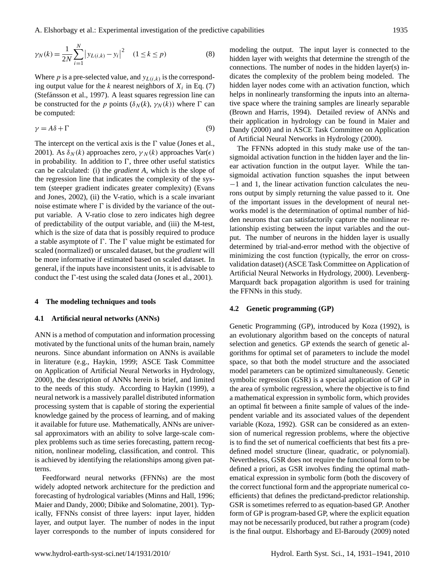A. Elshorbagy et al.: Experimental investigation of the predictive capabilities 1935

$$
\gamma_N(k) = \frac{1}{2N} \sum_{i=1}^{N} |y_{L(i,k)} - y_i|^2 \quad (1 \le k \le p)
$$
 (8)

Where p is a pre-selected value, and  $y_{L(i,k)}$  is the corresponding output value for the k nearest neighbors of  $X_i$  in Eq. [\(7\)](#page-3-0) (Stefánsson et al., 1997). A least squares regression line can be constructed for the p points  $(\delta_N(k), \gamma_N(k))$  where  $\Gamma$  can be computed:

$$
\gamma = A\delta + \Gamma \tag{9}
$$

The intercept on the vertical axis is the  $\Gamma$  value (Jones et al., 2001). As  $\delta_N(k)$  approaches zero,  $\gamma_N(k)$  approaches Var( $\epsilon$ ) in probability. In addition to  $\Gamma$ , three other useful statistics can be calculated: (i) the *gradient A*, which is the slope of the regression line that indicates the complexity of the system (steeper gradient indicates greater complexity) (Evans and Jones, 2002), (ii) the V-ratio, which is a scale invariant noise estimate where  $\Gamma$  is divided by the variance of the output variable. A V-ratio close to zero indicates high degree of predictability of the output variable, and (iii) the M-test, which is the size of data that is possibly required to produce a stable asymptote of  $\Gamma$ . The  $\Gamma$  value might be estimated for scaled (normalized) or unscaled dataset, but the *gradient* will be more informative if estimated based on scaled dataset. In general, if the inputs have inconsistent units, it is advisable to conduct the  $\Gamma$ -test using the scaled data (Jones et al., 2001).

#### **4 The modeling techniques and tools**

#### **4.1 Artificial neural networks (ANNs)**

ANN is a method of computation and information processing motivated by the functional units of the human brain, namely neurons. Since abundant information on ANNs is available in literature (e.g., Haykin, 1999; ASCE Task Committee on Application of Artificial Neural Networks in Hydrology, 2000), the description of ANNs herein is brief, and limited to the needs of this study. According to Haykin (1999), a neural network is a massively parallel distributed information processing system that is capable of storing the experiential knowledge gained by the process of learning, and of making it available for future use. Mathematically, ANNs are universal approximators with an ability to solve large-scale complex problems such as time series forecasting, pattern recognition, nonlinear modeling, classification, and control. This is achieved by identifying the relationships among given patterns.

Feedforward neural networks (FFNNs) are the most widely adopted network architecture for the prediction and forecasting of hydrological variables (Minns and Hall, 1996; Maier and Dandy, 2000; Dibike and Solomatine, 2001). Typically, FFNNs consist of three layers: input layer, hidden layer, and output layer. The number of nodes in the input layer corresponds to the number of inputs considered for modeling the output. The input layer is connected to the hidden layer with weights that determine the strength of the connections. The number of nodes in the hidden layer(s) indicates the complexity of the problem being modeled. The hidden layer nodes come with an activation function, which helps in nonlinearly transforming the inputs into an alternative space where the training samples are linearly separable (Brown and Harris, 1994). Detailed review of ANNs and their application in hydrology can be found in Maier and Dandy (2000) and in ASCE Task Committee on Application of Artificial Neural Networks in Hydrology (2000).

The FFNNs adopted in this study make use of the tansigmoidal activation function in the hidden layer and the linear activation function in the output layer. While the tansigmoidal activation function squashes the input between −1 and 1, the linear activation function calculates the neurons output by simply returning the value passed to it. One of the important issues in the development of neural networks model is the determination of optimal number of hidden neurons that can satisfactorily capture the nonlinear relationship existing between the input variables and the output. The number of neurons in the hidden layer is usually determined by trial-and-error method with the objective of minimizing the cost function (typically, the error on crossvalidation dataset) (ASCE Task Committee on Application of Artificial Neural Networks in Hydrology, 2000). Levenberg-Marquardt back propagation algorithm is used for training the FFNNs in this study.

#### **4.2 Genetic programming (GP)**

Genetic Programming (GP), introduced by Koza (1992), is an evolutionary algorithm based on the concepts of natural selection and genetics. GP extends the search of genetic algorithms for optimal set of parameters to include the model space, so that both the model structure and the associated model parameters can be optimized simultaneously. Genetic symbolic regression (GSR) is a special application of GP in the area of symbolic regression, where the objective is to find a mathematical expression in symbolic form, which provides an optimal fit between a finite sample of values of the independent variable and its associated values of the dependent variable (Koza, 1992). GSR can be considered as an extension of numerical regression problems, where the objective is to find the set of numerical coefficients that best fits a predefined model structure (linear, quadratic, or polynomial). Nevertheless, GSR does not require the functional form to be defined a priori, as GSR involves finding the optimal mathematical expression in symbolic form (both the discovery of the correct functional form and the appropriate numerical coefficients) that defines the predictand-predictor relationship. GSR is sometimes referred to as equation-based GP. Another form of GP is program-based GP, where the explicit equation may not be necessarily produced, but rather a program (code) is the final output. Elshorbagy and El-Baroudy (2009) noted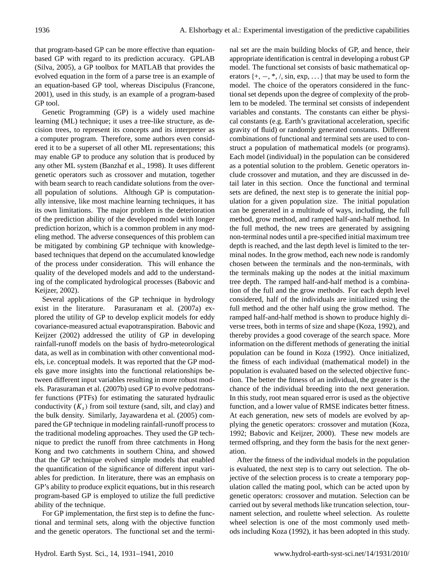that program-based GP can be more effective than equationbased GP with regard to its prediction accuracy. GPLAB (Silva, 2005), a GP toolbox for MATLAB that provides the evolved equation in the form of a parse tree is an example of an equation-based GP tool, whereas Discipulus (Francone, 2001), used in this study, is an example of a program-based GP tool.

Genetic Programming (GP) is a widely used machine learning (ML) technique; it uses a tree-like structure, as decision trees, to represent its concepts and its interpreter as a computer program. Therefore, some authors even considered it to be a superset of all other ML representations; this may enable GP to produce any solution that is produced by any other ML system (Banzhaf et al., 1998). It uses different genetic operators such as crossover and mutation, together with beam search to reach candidate solutions from the overall population of solutions. Although GP is computationally intensive, like most machine learning techniques, it has its own limitations. The major problem is the deterioration of the prediction ability of the developed model with longer prediction horizon, which is a common problem in any modeling method. The adverse consequences of this problem can be mitigated by combining GP technique with knowledgebased techniques that depend on the accumulated knowledge of the process under consideration. This will enhance the quality of the developed models and add to the understanding of the complicated hydrological processes (Babovic and Keijzer, 2002).

Several applications of the GP technique in hydrology exist in the literature. Parasuranam et al. (2007a) explored the utility of GP to develop explicit models for eddy covariance-measured actual evapotranspiration. Babovic and Keijzer (2002) addressed the utility of GP in developing rainfall-runoff models on the basis of hydro-meteorological data, as well as in combination with other conventional models, i.e. conceptual models. It was reported that the GP models gave more insights into the functional relationships between different input variables resulting in more robust models. Parasuraman et al. (2007b) used GP to evolve pedotransfer functions (PTFs) for estimating the saturated hydraulic conductivity  $(K_s)$  from soil texture (sand, silt, and clay) and the bulk density. Similarly, Jayawardena et al. (2005) compared the GP technique in modeling rainfall-runoff process to the traditional modeling approaches. They used the GP technique to predict the runoff from three catchments in Hong Kong and two catchments in southern China, and showed that the GP technique evolved simple models that enabled the quantification of the significance of different input variables for prediction. In literature, there was an emphasis on GP's ability to produce explicit equations, but in this research program-based GP is employed to utilize the full predictive ability of the technique.

For GP implementation, the first step is to define the functional and terminal sets, along with the objective function and the genetic operators. The functional set and the terminal set are the main building blocks of GP, and hence, their appropriate identification is central in developing a robust GP model. The functional set consists of basic mathematical operators  $\{+, -, *, /, \sin, \exp, ...\}$  that may be used to form the model. The choice of the operators considered in the functional set depends upon the degree of complexity of the problem to be modeled. The terminal set consists of independent variables and constants. The constants can either be physical constants (e.g. Earth's gravitational acceleration, specific gravity of fluid) or randomly generated constants. Different combinations of functional and terminal sets are used to construct a population of mathematical models (or programs). Each model (individual) in the population can be considered as a potential solution to the problem. Genetic operators include crossover and mutation, and they are discussed in detail later in this section. Once the functional and terminal sets are defined, the next step is to generate the initial population for a given population size. The initial population can be generated in a multitude of ways, including, the full method, grow method, and ramped half-and-half method. In the full method, the new trees are generated by assigning non-terminal nodes until a pre-specified initial maximum tree depth is reached, and the last depth level is limited to the terminal nodes. In the grow method, each new node is randomly chosen between the terminals and the non-terminals, with the terminals making up the nodes at the initial maximum tree depth. The ramped half-and-half method is a combination of the full and the grow methods. For each depth level considered, half of the individuals are initialized using the full method and the other half using the grow method. The ramped half-and-half method is shown to produce highly diverse trees, both in terms of size and shape (Koza, 1992), and thereby provides a good coverage of the search space. More information on the different methods of generating the initial population can be found in Koza (1992). Once initialized, the fitness of each individual (mathematical model) in the population is evaluated based on the selected objective function. The better the fitness of an individual, the greater is the chance of the individual breeding into the next generation. In this study, root mean squared error is used as the objective function, and a lower value of RMSE indicates better fitness. At each generation, new sets of models are evolved by applying the genetic operators: crossover and mutation (Koza, 1992; Babovic and Keijzer, 2000). These new models are termed offspring, and they form the basis for the next generation.

After the fitness of the individual models in the population is evaluated, the next step is to carry out selection. The objective of the selection process is to create a temporary population called the mating pool, which can be acted upon by genetic operators: crossover and mutation. Selection can be carried out by several methods like truncation selection, tournament selection, and roulette wheel selection. As roulette wheel selection is one of the most commonly used methods including Koza (1992), it has been adopted in this study.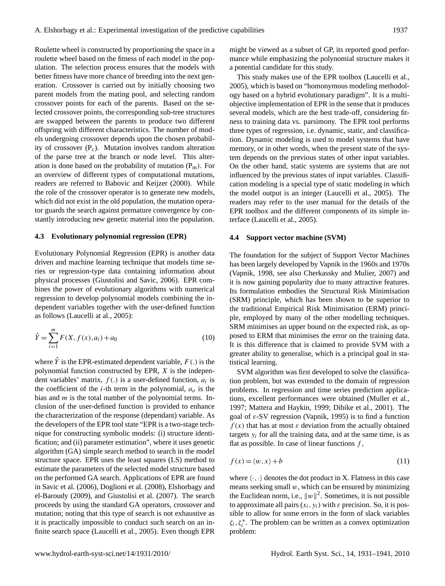Roulette wheel is constructed by proportioning the space in a roulette wheel based on the fitness of each model in the population. The selection process ensures that the models with better fitness have more chance of breeding into the next generation. Crossover is carried out by initially choosing two parent models from the mating pool, and selecting random crossover points for each of the parents. Based on the selected crossover points, the corresponding sub-tree structures are swapped between the parents to produce two different offspring with different characteristics. The number of models undergoing crossover depends upon the chosen probability of crossover  $(P_c)$ . Mutation involves random alteration of the parse tree at the branch or node level. This alteration is done based on the probability of mutation  $(P_m)$ . For an overview of different types of computational mutations, readers are referred to Babovic and Keijzer (2000). While the role of the crossover operator is to generate new models, which did not exist in the old population, the mutation operator guards the search against premature convergence by constantly introducing new genetic material into the population.

### **4.3 Evolutionary polynomial regression (EPR)**

Evolutionary Polynomial Regression (EPR) is another data driven and machine learning technique that models time series or regression-type data containing information about physical processes (Giustolisi and Savic, 2006). EPR combines the power of evolutionary algorithms with numerical regression to develop polynomial models combining the independent variables together with the user-defined function as follows (Laucelli at al., 2005):

$$
\hat{Y} = \sum_{i=1}^{m} F(X, f(x), a_i) + a_0
$$
\n(10)

where  $\ddot{Y}$  is the EPR-estimated dependent variable,  $F(.)$  is the polynomial function constructed by EPR, X is the independent variables' matrix,  $f(.)$  is a user-defined function,  $a_i$  is the coefficient of the *i*-th term in the polynomial,  $a<sub>o</sub>$  is the bias and  $m$  is the total number of the polynomial terms. Inclusion of the user-defined function is provided to enhance the characterization of the response (dependant) variable. As the developers of the EPR tool state "EPR is a two-stage technique for constructing symbolic models: (i) structure identification; and (ii) parameter estimation", where it uses genetic algorithm (GA) simple search method to search in the model structure space. EPR uses the least squares (LS) method to estimate the parameters of the selected model structure based on the performed GA search. Applications of EPR are found in Savic et al. (2006), Doglioni et al. (2008), Elshorbagy and el-Baroudy (2009), and Giustolisi et al. (2007). The search proceeds by using the standard GA operators, crossover and mutation; noting that this type of search is not exhaustive as it is practically impossible to conduct such search on an infinite search space (Laucelli et al., 2005). Even though EPR might be viewed as a subset of GP, its reported good performance while emphasizing the polynomial structure makes it a potential candidate for this study.

This study makes use of the EPR toolbox (Laucelli et al., 2005), which is based on "homonymous modeling methodology based on a hybrid evolutionary paradigm". It is a multiobjective implementation of EPR in the sense that it produces several models, which are the best trade-off, considering fitness to training data vs. parsimony. The EPR tool performs three types of regression, i.e. dynamic, static, and classification. Dynamic modeling is used to model systems that have memory, or in other words, when the present state of the system depends on the previous states of other input variables. On the other hand, static systems are systems that are not influenced by the previous states of input variables. Classification modeling is a special type of static modeling in which the model output is an integer (Laucelli et al., 2005). The readers may refer to the user manual for the details of the EPR toolbox and the different components of its simple interface (Laucelli et al., 2005).

#### **4.4 Support vector machine (SVM)**

The foundation for the subject of Support Vector Machines has been largely developed by Vapnik in the 1960s and 1970s (Vapnik, 1998, see also Cherkassky and Mulier, 2007) and it is now gaining popularity due to many attractive features. Its formulation embodies the Structural Risk Minimisation (SRM) principle, which has been shown to be superior to the traditional Empirical Risk Minimisation (ERM) principle, employed by many of the other modelling techniques. SRM minimises an upper bound on the expected risk, as opposed to ERM that minimises the error on the training data. It is this difference that is claimed to provide SVM with a greater ability to generalise, which is a principal goal in statistical learning.

SVM algorithm was first developed to solve the classification problem, but was extended to the domain of regression problems. In regression and time series prediction applications, excellent performances were obtained (Muller et al., 1997; Mattera and Haykin, 1999; Dibike et al., 2001). The goal of  $\varepsilon$ -SV regression (Vapnik, 1995) is to find a function  $f(x)$  that has at most  $\varepsilon$  deviation from the actually obtained targets  $y_i$  for all the training data, and at the same time, is as flat as possible. In case of linear functions  $f$ ,

$$
f(x) = \langle w, x \rangle + b \tag{11}
$$

where  $\langle \cdot, \cdot \rangle$  denotes the dot product in X. Flatness in this case means seeking small  $w$ , which can be ensured by minimizing the Euclidean norm, i.e.,  $||w||^2$ . Sometimes, it is not possible to approximate all pairs  $(x_i, y_i)$  with  $\varepsilon$  precision. So, it is possible to allow for some errors in the form of slack variables  $\zeta_i, \zeta_i^*$ . The problem can be written as a convex optimization problem: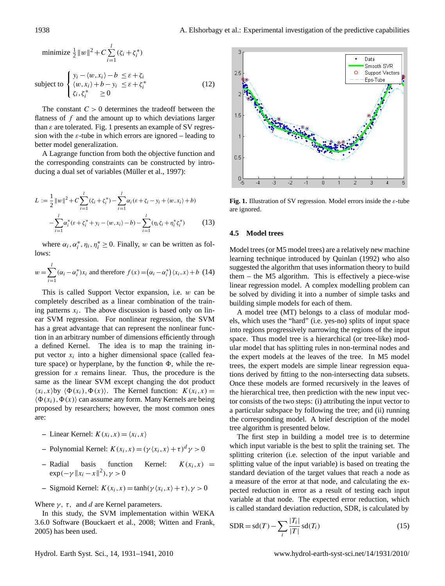minimize 
$$
\frac{1}{2} ||w||^2 + C \sum_{i=1}^{l} (\zeta_i + \zeta_i^*)
$$
  
\nsubject to 
$$
\begin{cases} y_i - \langle w, x_i \rangle - b \le \varepsilon + \zeta_i \\ \langle w, x_i \rangle + b - y_i \le \varepsilon + \zeta_i^* \\ \zeta_i, \zeta_i^* \ge 0 \end{cases}
$$
 (12)

The constant  $C > 0$  determines the tradeoff between the flatness of  $f$  and the amount up to which deviations larger than  $\varepsilon$  are tolerated. Fig. 1 presents an example of SV regression with the  $\varepsilon$ -tube in which errors are ignored – leading to better model generalization.

A Lagrange function from both the objective function and the corresponding constraints can be constructed by introducing a dual set of variables (Müller et al., 1997):

$$
L := \frac{1}{2} ||w||^2 + C \sum_{i=1}^{l} (\zeta_i + \zeta_i^*) - \sum_{i=1}^{l} \alpha_i (\varepsilon + \zeta_i - y_i + \langle w, x_i \rangle + b)
$$

$$
- \sum_{i=1}^{l} \alpha_i^* (\varepsilon + \zeta_i^* + y_i - \langle w, x_i \rangle - b) - \sum_{i=1}^{l} (\eta_i \zeta_i + \eta_i^* \zeta_i^*) \tag{13}
$$

where  $\alpha_i, \alpha_i^*, \eta_i, \eta_i^* \ge 0$ . Finally, w can be written as follows:

$$
w = \sum_{i=1}^{l} (\alpha_i - \alpha_i^*) x_i
$$
 and therefore  $f(x) = (\alpha_i - \alpha_i^*) \langle x_i, x \rangle + b$  (14)

This is called Support Vector expansion, i.e. w can be completely described as a linear combination of the training patterns  $x_i$ . The above discussion is based only on linear SVM regression. For nonlinear regression, the SVM has a great advantage that can represent the nonlinear function in an arbitrary number of dimensions efficiently through a defined Kernel. The idea is to map the training input vector  $x_i$  into a higher dimensional space (called feature space) or hyperplane, by the function  $\Phi$ , while the regression for x remains linear. Thus, the procedure is the same as the linear SVM except changing the dot product  $\langle x_i, x \rangle$ by  $\langle \Phi(x_i), \Phi(x) \rangle$ . The Kernel function:  $K(x_i, x) =$  $\langle \Phi(x_i), \Phi(x) \rangle$  can assume any form. Many Kernels are being proposed by researchers; however, the most common ones are:

- **–** Linear Kernel:  $K(x_i, x) = \langle x_i, x \rangle$
- **–** Polynomial Kernel:  $K(x_i, x) = (\gamma \langle x_i, x \rangle + \tau)^d \gamma > 0$
- $-$  Radial basis function Kernel:  $K(x_i, x) =$  $\exp(-\gamma \|x_i - x\|^2), \gamma > 0$
- **–** Sigmoid Kernel:  $K(x_i, x) = \tanh(\gamma \langle x_i, x \rangle + \tau), \gamma > 0$

Where  $\gamma$ ,  $\tau$ , and d are Kernel parameters.

In this study, the SVM implementation within WEKA 3.6.0 Software (Bouckaert et al., 2008; Witten and Frank, 2005) has been used.



**Fig. 1.** Illustration of SV regression. Model errors inside the  $\varepsilon$ -tube are ignored.

### **4.5 Model trees**

Model trees (or M5 model trees) are a relatively new machine learning technique introduced by Quinlan (1992) who also suggested the algorithm that uses information theory to build them – the M5 algorithm. This is effectively a piece-wise linear regression model. A complex modelling problem can be solved by dividing it into a number of simple tasks and building simple models for each of them.

A model tree (MT) belongs to a class of modular models, which uses the "hard" (i.e. yes-no) splits of input space into regions progressively narrowing the regions of the input space. Thus model tree is a hierarchical (or tree-like) modular model that has splitting rules in non-terminal nodes and the expert models at the leaves of the tree. In M5 model trees, the expert models are simple linear regression equations derived by fitting to the non-intersecting data subsets. Once these models are formed recursively in the leaves of the hierarchical tree, then prediction with the new input vector consists of the two steps: (i) attributing the input vector to a particular subspace by following the tree; and (ii) running the corresponding model. A brief description of the model tree algorithm is presented below.

The first step in building a model tree is to determine which input variable is the best to split the training set. The splitting criterion (i.e. selection of the input variable and splitting value of the input variable) is based on treating the standard deviation of the target values that reach a node as a measure of the error at that node, and calculating the expected reduction in error as a result of testing each input variable at that node. The expected error reduction, which is called standard deviation reduction, SDR, is calculated by

$$
SDR = sd(T) - \sum_{i} \frac{|T_i|}{|T|} sd(T_i)
$$
\n(15)

Hydrol. Earth Syst. Sci., 14, 1931[–1941,](#page-0-0) 2010 www.hydrol-earth-syst-sci.net/14/1931/2010/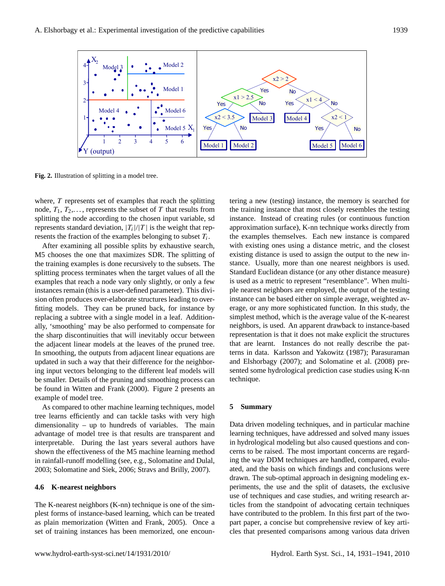

Fig. 2. Illustration of splitting in a model tree.

where, T represents set of examples that reach the splitting node,  $T_1, T_2, \ldots$ , represents the subset of T that results from splitting the node according to the chosen input variable, sd represents standard deviation,  $|T_i|/|T|$  is the weight that represents the fraction of the examples belonging to subset  $T_i$ .

After examining all possible splits by exhaustive search, M5 chooses the one that maximizes SDR. The splitting of the training examples is done recursively to the subsets. The splitting process terminates when the target values of all the examples that reach a node vary only slightly, or only a few instances remain (this is a user-defined parameter). This division often produces over-elaborate structures leading to overfitting models. They can be pruned back, for instance by replacing a subtree with a single model in a leaf. Additionally, 'smoothing' may be also performed to compensate for the sharp discontinuities that will inevitably occur between the adjacent linear models at the leaves of the pruned tree. In smoothing, the outputs from adjacent linear equations are updated in such a way that their difference for the neighboring input vectors belonging to the different leaf models will be smaller. Details of the pruning and smoothing process can be found in Witten and Frank (2000). Figure 2 presents an example of model tree.

As compared to other machine learning techniques, model tree learns efficiently and can tackle tasks with very high dimensionality – up to hundreds of variables. The main advantage of model tree is that results are transparent and interpretable. During the last years several authors have shown the effectiveness of the M5 machine learning method in rainfall-runoff modelling (see, e.g., Solomatine and Dulal, 2003; Solomatine and Siek, 2006; Stravs and Brilly, 2007).

## **4.6 K-nearest neighbors**

The K-nearest neighbors (K-nn) technique is one of the simplest forms of instance-based learning, which can be treated as plain memorization (Witten and Frank, 2005). Once a set of training instances has been memorized, one encountering a new (testing) instance, the memory is searched for the training instance that most closely resembles the testing instance. Instead of creating rules (or continuous function approximation surface), K-nn technique works directly from the examples themselves. Each new instance is compared with existing ones using a distance metric, and the closest existing distance is used to assign the output to the new instance. Usually, more than one nearest neighbors is used. Standard Euclidean distance (or any other distance measure) is used as a metric to represent "resemblance". When multiple nearest neighbors are employed, the output of the testing instance can be based either on simple average, weighted average, or any more sophisticated function. In this study, the simplest method, which is the average value of the K-nearest neighbors, is used. An apparent drawback to instance-based representation is that it does not make explicit the structures that are learnt. Instances do not really describe the patterns in data. Karlsson and Yakowitz (1987); Parasuraman and Elshorbagy (2007); and Solomatine et al. (2008) presented some hydrological prediction case studies using K-nn technique.

#### **5 Summary**

28 cles that presented comparisons among various data driven Data driven modeling techniques, and in particular machine learning techniques, have addressed and solved many issues in hydrological modeling but also caused questions and concerns to be raised. The most important concerns are regarding the way DDM techniques are handled, compared, evaluated, and the basis on which findings and conclusions were drawn. The sub-optimal approach in designing modeling experiments, the use and the split of datasets, the exclusive use of techniques and case studies, and writing research articles from the standpoint of advocating certain techniques have contributed to the problem. In this first part of the twopart paper, a concise but comprehensive review of key arti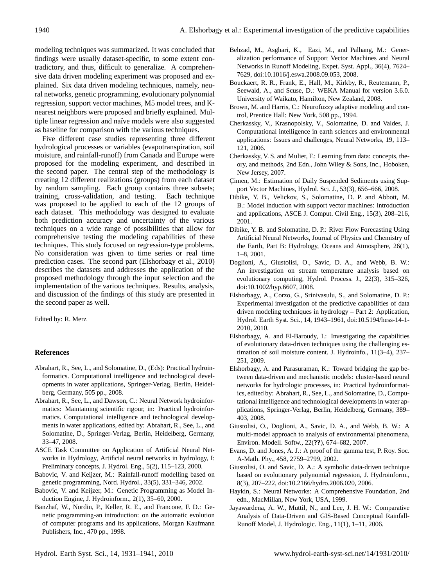modeling techniques was summarized. It was concluded that findings were usually dataset-specific, to some extent contradictory, and thus, difficult to generalize. A comprehensive data driven modeling experiment was proposed and explained. Six data driven modeling techniques, namely, neural networks, genetic programming, evolutionary polynomial regression, support vector machines, M5 model trees, and Knearest neighbors were proposed and briefly explained. Multiple linear regression and naïve models were also suggested as baseline for comparison with the various techniques.

Five different case studies representing three different hydrological processes or variables (evapotranspiration, soil moisture, and rainfall-runoff) from Canada and Europe were proposed for the modeling experiment, and described in the second paper. The central step of the methodology is creating 12 different realizations (groups) from each dataset by random sampling. Each group contains three subsets; training, cross-validation, and testing. Each technique was proposed to be applied to each of the 12 groups of each dataset. This methodology was designed to evaluate both prediction accuracy and uncertainty of the various techniques on a wide range of possibilities that allow for comprehensive testing the modeling capabilities of these techniques. This study focused on regression-type problems. No consideration was given to time series or real time prediction cases. The second part (Elshorbagy et al., 2010) describes the datasets and addresses the application of the proposed methodology through the input selection and the implementation of the various techniques. Results, analysis, and discussion of the findings of this study are presented in the second paper as well.

Edited by: R. Merz

## **References**

- Abrahart, R., See, L., and Solomatine, D., (Eds): Practical hydroinformatics. Computational intelligence and technological developments in water applications, Springer-Verlag, Berlin, Heidelberg, Germany, 505 pp., 2008.
- Abrahart, R., See, L., and Dawson, C.: Neural Network hydroinformatics: Maintaining scientific rigour, in: Practical hydroinformatics. Computational intelligence and technological developments in water applications, edited by: Abrahart, R., See, L., and Solomatine, D., Springer-Verlag, Berlin, Heidelberg, Germany, 33–47, 2008.
- ASCE Task Committee on Application of Artificial Neural Networks in Hydrology, Artificial neural networks in hydrology, I: Preliminary concepts, J. Hydrol. Eng., 5[\(2\)](#page-3-1), 115–123, 2000.
- Babovic, V. and Keijzer, M.: Rainfall-runoff modelling based on genetic programming, Nord. Hydrol., 33(5), 331–346, 2002.
- Babovic, V. and Keijzer, M.: Genetic Programming as Model Induction Engine, J. Hydroinform., 2[\(1\)](#page-3-2), 35–60, 2000.
- Banzhaf, W., Nordin, P., Keller, R. E., and Francone, F. D.: Genetic programming-an introduction: on the automatic evolution of computer programs and its applications, Morgan Kaufmann Publishers, Inc., 470 pp., 1998.
- Behzad, M., Asghari, K., Eazi, M., and Palhang, M.: Generalization performance of Support Vector Machines and Neural Networks in Runoff Modeling, Expet. Syst. Appl., 36[\(4\)](#page-3-3), 7624– 7629, doi:10.1016/j.eswa.2008.09.053, 2008.
- Bouckaert, R. R., Frank, E., Hall, M., Kirkby, R., Reutemann, P., Seewald, A., and Scuse, D.: WEKA Manual for version 3.6.0. University of Waikato, Hamilton, New Zealand, 2008.
- Brown, M. and Harris, C.: Neurofuzzy adaptive modeling and control, Prentice Hall: New York, 508 pp., 1994.
- Cherkassky, V., Krasnopolsky, V., Solomatine, D. and Valdes, J. Computational intelligence in earth sciences and environmental applications: Issues and challenges, Neural Networks, 19, 113– 121, 2006.
- Cherkassky, V. S. and Mulier, F.: Learning from data: concepts, theory, and methods, 2nd Edn., John Wiley & Sons, Inc., Hoboken, New Jersey, 2007.
- Cimen, M.: Estimation of Daily Suspended Sediments using Support Vector Machines, Hydrol. Sci. J., 53[\(3\)](#page-3-4), 656–666, 2008.
- Dibike, Y. B., Velickov, S., Solomatine, D. P. and Abbott, M. B.: Model induction with support vector machines: introduction and applications, ASCE J. Comput. Civil Eng., 15[\(3\)](#page-3-4), 208–216, 2001.
- Dibike, Y. B. and Solomatine, D. P.: River Flow Forecasting Using Artificial Neural Networks, Journal of Physics and Chemistry of the Earth, Part B: Hydrology, Oceans and Atmosphere, 26[\(1\)](#page-3-2), 1–8, 2001.
- Doglioni, A., Giustolisi, O., Savic, D. A., and Webb, B. W.: An investigation on stream temperature analysis based on evolutionary computing, Hydrol. Process. J., 22[\(3\)](#page-3-4), 315–326, doi:10.1002/hyp.6607, 2008.
- Elshorbagy, A., Corzo, G., Srinivasulu, S., and Solomatine, D. P.: Experimental investigation of the predictive capabilities of data driven modeling techniques in hydrology – Part 2: Application, Hydrol. Earth Syst. Sci., 14, 1943–1961, doi:10.5194/hess-14-1- 2010, 2010.
- Elshorbagy, A. and El-Baroudy, I.: Investigating the capabilities of evolutionary data-driven techniques using the challenging estimation of soil moisture content. J. Hydroinfo., 11(3–4), 237– 251, 2009.
- Elshorbagy, A. and Parasuraman, K.: Toward bridging the gap between data-driven and mechanistic models: cluster-based neural networks for hydrologic processes, in: Practical hydroinformatics, edited by: Abrahart, R., See, L., and Solomatine, D., Computational intelligence and technological developments in water applications, Springer-Verlag, Berlin, Heidelberg, Germany, 389– 403, 2008.
- Giustolisi, O., Doglioni, A., Savic, D. A., and Webb, B. W.: A multi-model approach to analysis of environmental phenomena, Environ. Modell. Softw., 22(**??**), 674–682, 2007.
- Evans, D. and Jones, A. J.: A proof of the gamma test, P. Roy. Soc. A-Math. Phy., 458, 2759–2799, 2002.
- Giustolisi, O. and Savic, D. A.: A symbolic data-driven technique based on evolutionary polynomial regression, J. Hydroinform., 8[\(3\)](#page-3-4), 207–222, doi:10.2166/hydro.2006.020, 2006.
- Haykin, S.: Neural Networks: A Comprehensive Foundation, 2nd edn., MacMillan, New York, USA, 1999.
- Jayawardena, A. W., Muttil, N., and Lee, J. H. W.: Comparative Analysis of Data-Driven and GIS-Based Conceptual Rainfall-Runoff Model, J. Hydrologic. Eng., 11[\(1\)](#page-3-2), 1–11, 2006.